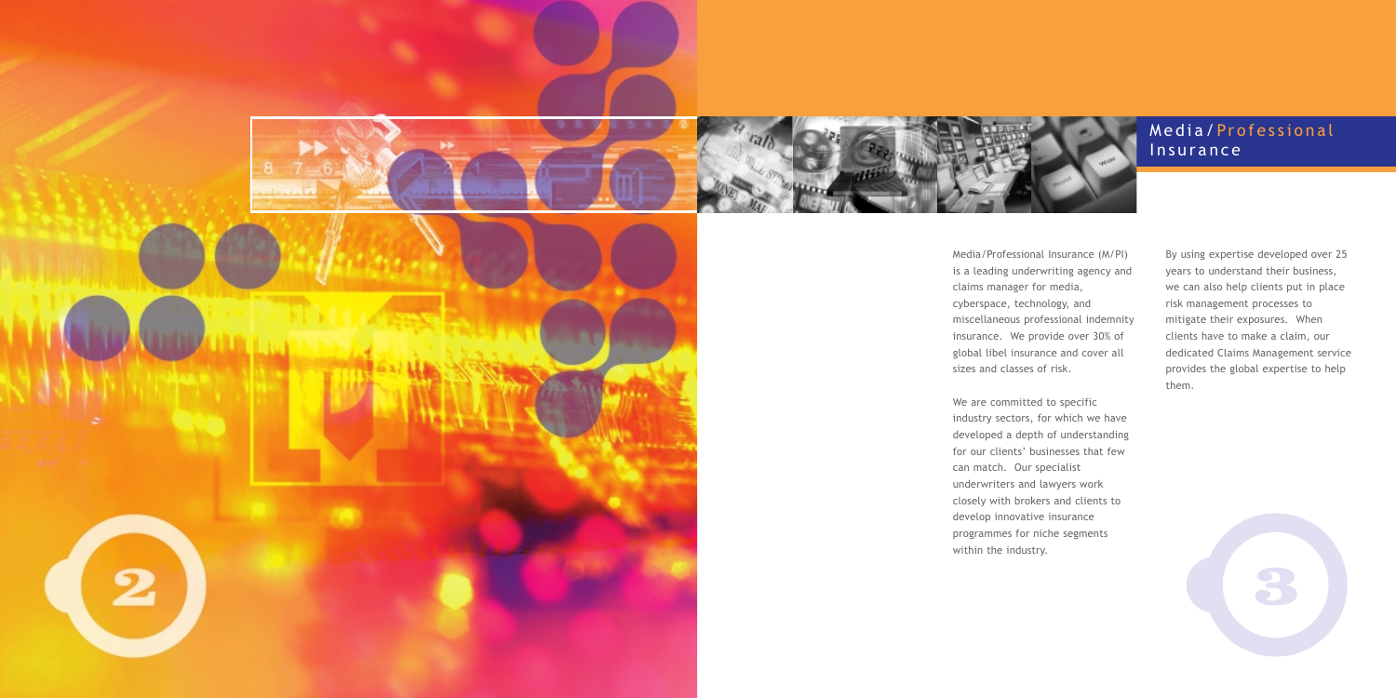## Media/ Professional Insurance





Media/Professional Insurance (M/PI) is a leading underwriting agency and claims manager for media, cyberspace, technology, and miscellaneous professional indemnity insurance. We provide over 30% of global libel insurance and cover all sizes and classes of risk.

We are committed to specific industry sectors, for which we have developed a depth of understanding for our clients' businesses that few can match. Our specialist underwriters and lawyers work closely with brokers and clients to develop innovative insurance programmes for niche segments within the industry.

By using expertise developed over 25 years to understand their business, we can also help clients put in place risk management processes to mitigate their exposures. When clients have to make a claim, our dedicated Claims Management service provides the global expertise to help them.